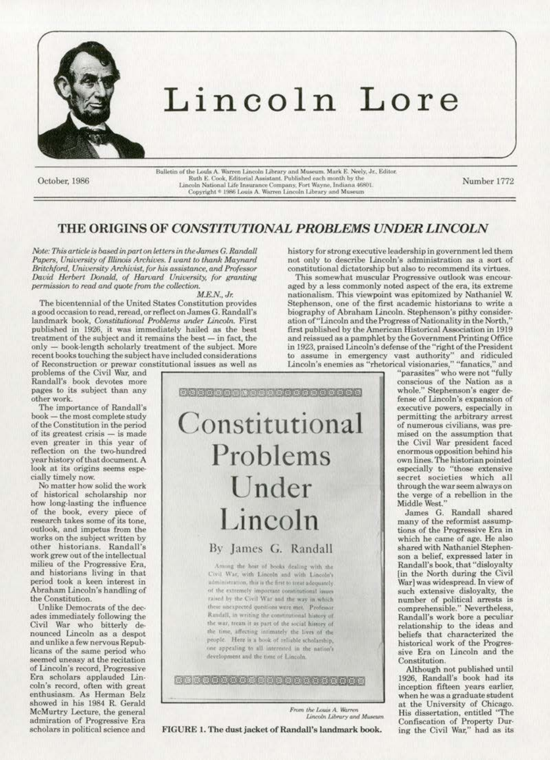

## Lincoln Lore

October, 1986

Bulletin of the Louis A. Warren Lincoln Library and Museum. Mark E. Neely, Jr., Editor.<br>Ruth E. Cook, Editorial Assistant. Published each month by the Lincoln National Life Insurance Company, Fort Wayne, Indiana 46801. Copyright \* 1986 Louis A. Warren Lincoln Library and Museum

Number 1772

## THE ORIGINS OF CONSTITUTIONAL PROBLEMS UNDER LINCOLN

Note: This article is based in part on letters in the James G. Randall Papers, University of Illinois Archives. I want to thank Maynard Britchford, University Archivist, for his assistance, and Professor David Herbert Donald, of Harvard University, for granting permission to read and quote from the collection.

 $M.E.N., Jr.$ 

The bicentennial of the United States Constitution provides a good occasion to read, reread, or reflect on James G. Randall's landmark book, Constitutional Problems under Lincoln. First published in 1926, it was immediately hailed as the best treatment of the subject and it remains the best - in fact, the only - book-length scholarly treatment of the subject. More recent books touching the subject have included considerations of Reconstruction or prewar constitutional issues as well as

problems of the Civil War, and Randall's book devotes more pages to its subject than any other work.

The importance of Randall's book - the most complete study of the Constitution in the period of its greatest crisis - is made even greater in this year of reflection on the two-hundred year history of that document. A look at its origins seems especially timely now.

No matter how solid the work of historical scholarship nor how long-lasting the influence of the book, every piece of<br>research takes some of its tone. outlook, and impetus from the works on the subject written by other historians. Randall's work grew out of the intellectual milieu of the Progressive Era, and historians living in that period took a keen interest in Abraham Lincoln's handling of the Constitution.

Unlike Democrats of the decades immediately following the Civil War who bitterly denounced Lincoln as a despot and unlike a few nervous Republicans of the same period who seemed uneasy at the recitation of Lincoln's record, Progressive Era scholars applauded Lincoln's record, often with great enthusiasm. As Herman Belz showed in his 1984 R. Gerald McMurtry Lecture, the general admiration of Progressive Era scholars in political science and

Sangar sangan dan sangan sanga Constitutional Problems Under Lincoln

By James G. Randall

Among the host of books dealing with the Civil War, with Lincoln and with Lincoln's administration, this is the first to treat adequately. of the extremely important constitutional issues raised by the Civil War and the way in which these unexpected questions were met. Professor Randall, in writing the constitutional history of the war, treats it as part of the social history of the time, affecting intimately the lives of the people. Here is a book of reliable scholarship, one appealing to all interested in the nation's development and the time of Lincoln.

nakananan sena dan dan sana

From the Louis A. Warren Lincoln Library and Museum

FIGURE 1. The dust jacket of Randall's landmark book.

history for strong executive leadership in government led them not only to describe Lincoln's administration as a sort of constitutional dictatorship but also to recommend its virtues.

This somewhat muscular Progressive outlook was encouraged by a less commonly noted aspect of the era, its extreme nationalism. This viewpoint was epitomized by Nathaniel W. Stephenson, one of the first academic historians to write a biography of Abraham Lincoln. Stephenson's pithy consideration of "Lincoln and the Progress of Nationality in the North," first published by the American Historical Association in 1919 and reissued as a pamphlet by the Government Printing Office in 1923, praised Lincoln's defense of the "right of the President to assume in emergency vast authority" and ridiculed Lincoln's enemies as "rhetorical visionaries," "fanatics," and

"parasites" who were not "fully conscious of the Nation as a whole." Stephenson's eager de-<br>fense of Lincoln's expansion of executive powers, especially in permitting the arbitrary arrest of numerous civilians, was premised on the assumption that the Civil War president faced enormous opposition behind his own lines. The historian pointed especially to "those extensive secret societies which all through the war seem always on the verge of a rebellion in the Middle West.'

James G. Randall shared<br>many of the reformist assumptions of the Progressive Era in which he came of age. He also shared with Nathaniel Stephenson a belief, expressed later in Randall's book, that "disloyalty [in the North during the Civil War] was widespread. In view of such extensive disloyalty, the number of political arrests is<br>comprehensible." Nevertheless,<br>Randall's work bore a peculiar relationship to the ideas and beliefs that characterized the historical work of the Progressive Era on Lincoln and the Constitution.

Although not published until 1926, Randall's book had its inception fifteen years earlier, when he was a graduate student at the University of Chicago. His dissertation, entitled "The Confiscation of Property During the Civil War," had as its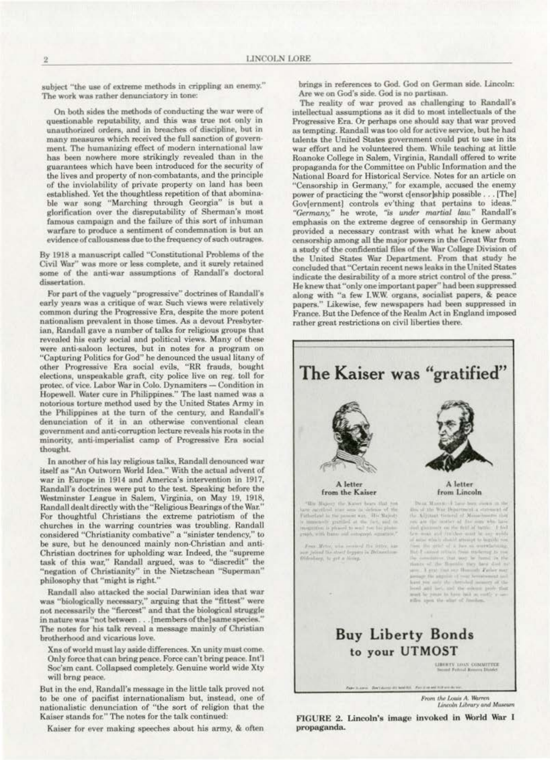subject "the use of extreme methods in crippling an enemy." The work was rather denunciatory in tone:

On both sides the methods of conducting the war were of questionable reputability, and this was true not only in unauthorized orders, and in breaches of discipline, but in many measures which received the full sanction of government. The humanizing effect of modern international law has been nowhere more strikingly revealed than in the guarantees which have been introduced for the security of the lives and property of non-combatants, and the principle of the inviolability of private property on land has been established. Yet the thoughtless repetition of that abominable war song "Marching through Georgia" is but a glorification over the disreputability of Sherman's most famous campaign and the failure of this sort of inhuman warfare to produce a sentiment of condemnation is but an evidence of callousness due to the frequency of such outrages.

By 1918 a manuscript called "Constitutional Problems of the Civil War" was more or less complete, and it surely retained some of the anti-war assumptions of Randall's doctoral dissertation.

For part of the vaguely "progressive" doctrines of Randall's early years was a critique of war. Such views were relatively common during the Progressive Era, despite the more potent nationalism prevalent in those times. As a devout Presbyterian, Randall gave a number of talks for religious groups that revealed his early social and political views. Many of these were anti-saloon lectures, but in notes for a program on "Capturing Politics for God" he denounced the usual litany of other Progressive Era social evils, "RR frauds, bought elections, unspeakable graft, city police live on reg. toll for protec. of vice. Labor War in Colo. Dynamiters - Condition in Hopewell. Water cure in Philippines." The last named was a notorious torture method used by the United States Army in the Philippines at the turn of the century, and Randall's denunciation of it in an otherwise conventional clean government and anti-corruption lecture reveals his roots in the minority, anti-imperialist camp of Progressive Era social thought.

In another of his lay religious talks, Randall denounced war itself as "An Outworn World Idea." With the actual advent of war in Europe in 1914 and America's intervention in 1917, Randall's doctrines were put to the test. Speaking before the Westminster League in Salem, Virginia, on May 19, 1918, Randall dealt directly with the "Religious Bearings of the War." For thoughtful Christians the extreme patriotism of the churches in the warring countries was troubling. Randall considered "Christianity combative" a "sinister tendency," to be sure, but he denounced mainly non-Christian and anti-Christian doctrines for upholding war. Indeed, the "supreme task of this war," Randall argued, was to "discredit" the "negation of Christianity" in the Nietzschean "Superman" philosophy that "might is right."

Randall also attacked the social Darwinian idea that war was "biologically necessary," arguing that the "fittest" were not necessarily the "fiercest" and that the biological struggle in nature was "not between... [members of the] same species.' The notes for his talk reveal a message mainly of Christian brotherhood and vicarious love.

Xns of world must lay aside differences. Xn unity must come. Only force that can bring peace. Force can't bring peace. Int'l Soc'sm cant. Collapsed completely. Genuine world wide Xty will brng peace.

But in the end, Randall's message in the little talk proved not to be one of pacifist internationalism but, instead, one of nationalistic denunciation of "the sort of religion that the Kaiser stands for." The notes for the talk continued:

Kaiser for ever making speeches about his army, & often

brings in references to God. God on German side. Lincoln: Are we on God's side. God is no partisan.

The reality of war proved as challenging to Randall's intellectual assumptions as it did to most intellectuals of the Progressive Era. Or perhaps one should say that war proved as tempting. Randall was too old for active service, but he had talents the United States government could put to use in its war effort and he volunteered them. While teaching at little Roanoke College in Salem, Virginia, Randall offered to write propaganda for the Committee on Public Information and the National Board for Historical Service. Notes for an article on "Censorship in Germany," for example, accused the enemy power of practicing the "worst c[ensor]ship possible . . . [The] Gov[ernment] controls ev'thing that pertains to ideas. "Germany," he wrote, "is under martial law." Randall's emphasis on the extreme degree of censorship in Germany provided a necessary contrast with what he knew about censorship among all the major powers in the Great War from a study of the confidential files of the War College Division of the United States War Department. From that study he concluded that "Certain recent news leaks in the United States indicate the desirability of a more strict control of the press." He knew that "only one important paper" had been suppressed along with "a few I.W.W. organs, socialist papers, & peace papers." Likewise, few newspapers had been suppressed in France. But the Defence of the Realm Act in England imposed rather great restrictions on civil liberties there.



From the Louis A. Warren

Lincoln Library and Museum

FIGURE 2. Lincoln's image invoked in World War I propaganda.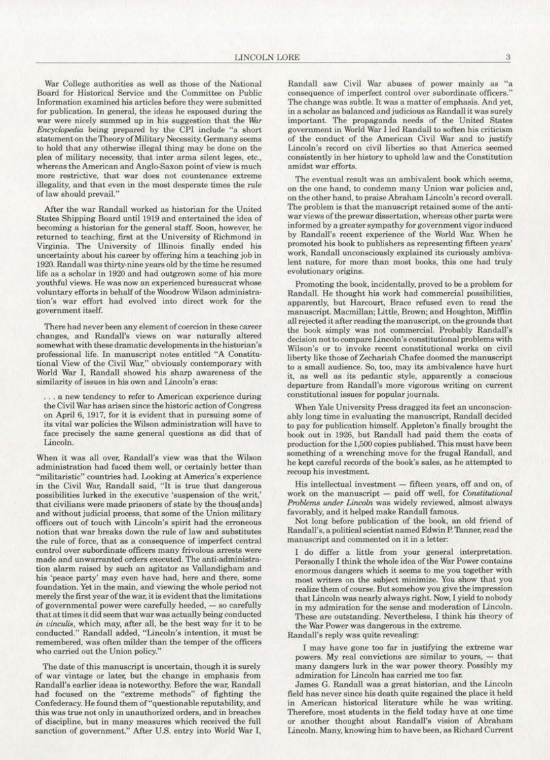War College authorities as well as those of the National Board for Historical Service and the Committee on Public Information examined his articles before they were submitted for publication. In general, the ideas he espoused during the war were nicely summed up in his suggestion that the *War* Encyclopedia being prepared by the CPI include "a short statement on the Theory of Military Necessity. Germany seems to hold that any otherwise illegal thing may be done on the plea of military necessity, that inter arma silent leges, etc., whereas the American and Anglo-Saxon point of view is much more restrictive, that war does not countenance extreme illegality, and that even in the most desperate times the rule of Jaw should prevail."

After the war Randall worked as historian for the United States Shipping Board until 1919 and entertained the idea of becoming a historian for the general staff. Soon, however, he returned to teaching, first at the University of Richmond in Virginia. The University of Illinois finally ended his uncertainty about his career by offering him a teaching job in 1920. Randall was thirty·nine years old by the time he resumed life as a scholar in 1920 and had outgrown some of his more youthful views. He was now an experienced bureaucrat whose voluntary efforts in behalf of the Woodrow Wilson administration's war effort had evolved into direct work for the government itself.

There had never been any element of coercion in these career changes, and Randall's views on war naturally altered somewhat with these dramatic developments in the historian's professional life. In manuscript notes entitled "A Constitu· tional View of the Civil War.'' obviously contemporary with World War I, Randall showed his sharp awareness of the similarity of issues in his own and Lincoln's eras:

. a new tendency to refer to American experience during the Civil War has arisen since the historic action of Congress on April 6, 1917, for it is evident that in pursuing some of its vital war policies the Wilson administration will have to face precisely the same general questions as did that of Lincoln.

When it was all over, Randall's view was that the Wilson administration had faced them weU, or certainly better than "militaristic" countries had. Looking at America's experience in the Civil War, Randall said, "It is true that dangerous possibilities lurked in the executive 'suspension of the writ,' that civilians were made prisoners of state by the thous[ands] and without judicial process, that some of the Union military officers out of touch with Lincoln's spirit had the erroneous notion that war breaks down the rule of Jaw and substitutes the rule of force, that as a consequence of imperfect central control over subordinate officers many frivolous arrests were made and unwarranted orders executed. The anti-administration alarm raised by such an agitator as Vallandigham and his 'peace party' may even have had, here and there, some foundation. Yet in the main, and viewing the whole period not merely the first year of the war, it is evident that the limitations of governmental power were carefully heeded, - so carefully that at times it did seem that war was actually being conducted *in vinculis,* which may, after all, be the best way for it to be conducted." Randall added, "Lincoln's intention, it must be remembered, was often milder than the temper of the officers who carried out the Union policy."

The date of this manuscript is uncertain, though it is surely of war vintage or latet; but the change in emphasis from Randall's earlier ideas is noteworthy. Before the war, Randall had focused on the "extreme methods" of fighting the Confederacy. He found them of"questionable reputability, and this was true not only in unauthorized orders, and in breaches of discipline, but in many measures which received the full sanction of government." After U.S. entry into World War I,

Randall saw Civil War abuses of power mainly as "a consequence of imperfect. control over subordinate officers." The change was subtle. It was a matter of emphasis. And yet, in a scholar as balanced and judicious as Randall it was surely important. The propaganda needs of the United States government in World War I led Randall to soften his criticism of the conduct of the American Civil War and to justify Lincoln's record on civil liberties so that America seemed consistently in her history to uphold law and the Constitution amidst war efforts.

The eventual result was an ambivalent book which seems, on the one hand, to condemn many Union war policies and, on the other hand, to praise Abraham Lincoln's record overall. The problem is that the manuscript retained some of the antiwar views of the prewar dissertation, whereas other parts were informed by a greater sympathy for government vigor induced by Randall's recent experience of the World War. When he promoted his book to publishers as representing fifteen years' work, Randall unconsciously explained its curiously ambivalent nature, for more than most books, this one had truly evolutionary origins.

Promoting the book, incidentally, proved to be a problem for Randall. He thought his work had commercial possibilities, apparently, but Harcourt, Brace refused even to read the manuscript. Macmillan; Little, Brown; and Houghton, Mifflin all rejected it after reading the manuscript, on the grounds that the book simply was not commercial. Probably Randall's decision not to compare Lincoln's constitutional problems with Wilson's or to invoke recent constitutions] works on civil liberty like those of Zechariah Chafee doomed the manuscript to a small audience. So, too, may its ambivalence have hurt it. as well as its pedantic style, apparently a conscious departure from Randall's more vigorous writing on current constitutional issues for popular journals .

When Yale University Press dragged its feet an unconscionably long time in evaluating the manuscript, Randall decided to pay for publication himself. Appleton's finally brought the book out in 1926, but Randall had paid them the oosts of production for the 1,500 copies published. This must have been something of a wrenching move for the frugal Randall, and he kept careful records of the book's sales, as he attempted to recoup his investment.

His intellectual investment - fifteen years, off and on, of work on the manuscript - paid off well, for *Constitutional* Problems under Lincoln was widely reviewed, almost always favorably, and it helped make Randall famous.

Not long before publication of the book, an old friend of Randall's, a political scientist named Edwin P. Tanner, read the manuscript and commented on it in a letter:

I do differ a little from your general interpretation. Personally l think the whole idea of the War Power contains enormous dangers which it seems to me you together with most writers on the subject minimize. You show that you realize them of course. Sut somehow you give the impression that Lincoln was nearly always right. Now, I yield to nobody in my admiration for the sense and moderation of Lincoln. These are outstanding. Nevertheless, I think his theory of the War Power was dangerous in the extreme.

RandaU's reply was Quite revealing:

I may have gone too far in justifying the extreme war powers. My real convictions are similar to yours, - that many dangers lurk in the war power theory. Possibly my admiration for Lincoln has carried me too far.

James G. Randall was a great historian, and the Lincoln field has never since his death quite regained the place it beld in American historical literature while he was writing. Therefore, most students in the field today have at one time or another thought about Randall's vision of Abraham Lincoln. Many, knowing him to have been, as Richard Current